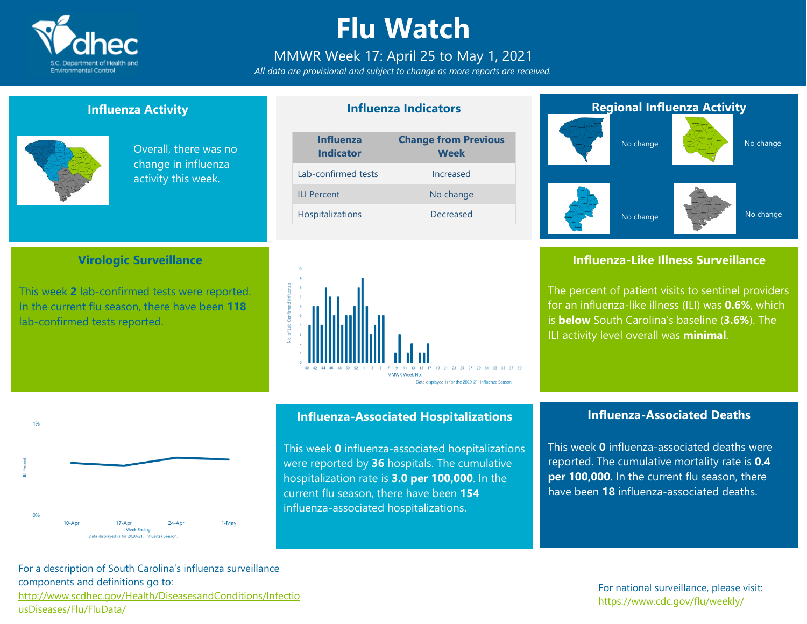

### **Flu Watch**

### MMWR Week 17: April 25 to May 1, 2021

*All data are provisional and subject to change as more reports are received.*

**Influenza Indicators**

### **Influenza Activity**

**Virologic Surveillance**

This week **2** lab-confirmed tests were reported. In the current flu season, there have been **118**

lab-confirmed tests reported.



Overall, there was no change in influenza activity this week.

#### **Influenza Change from Previous**

| <b>Indicator</b>        | <b>Week</b> |
|-------------------------|-------------|
| Lab-confirmed tests     | Increased   |
| II I Percent            | No change   |
| <b>Hospitalizations</b> | Decreased   |





 $24 - Anr$ 

**Influenza-Associated Hospitalizations**

This week **0** influenza-associated hospitalizations were reported by **36** hospitals. The cumulative hospitalization rate is **3.0 per 100,000**. In the current flu season, there have been **154** influenza-associated hospitalizations.



### **Influenza-Like Illness Surveillance**

The percent of patient visits to sentinel providers for an influenza-like illness (ILI) was **0.6%**, which is **below** South Carolina's baseline (**3.6%**). The ILI activity level overall was **minimal**.

### **Influenza-Associated Deaths**

This week **0** influenza-associated deaths were reported. The cumulative mortality rate is **0.4 per 100,000**. In the current flu season, there have been **18** influenza-associated deaths.

For a description of South Carolina's influenza surveillance components and definitions go to: [http://www.scdhec.gov/Health/DiseasesandConditions/Infectio](http://www.scdhec.gov/Health/DiseasesandConditions/InfectiousDiseases/Flu/FluData/) [usDiseases/Flu/FluData/](http://www.scdhec.gov/Health/DiseasesandConditions/InfectiousDiseases/Flu/FluData/)

 $17 - Anr$ 

Week Ending Data displayed is for 2020-21. Influenza Season.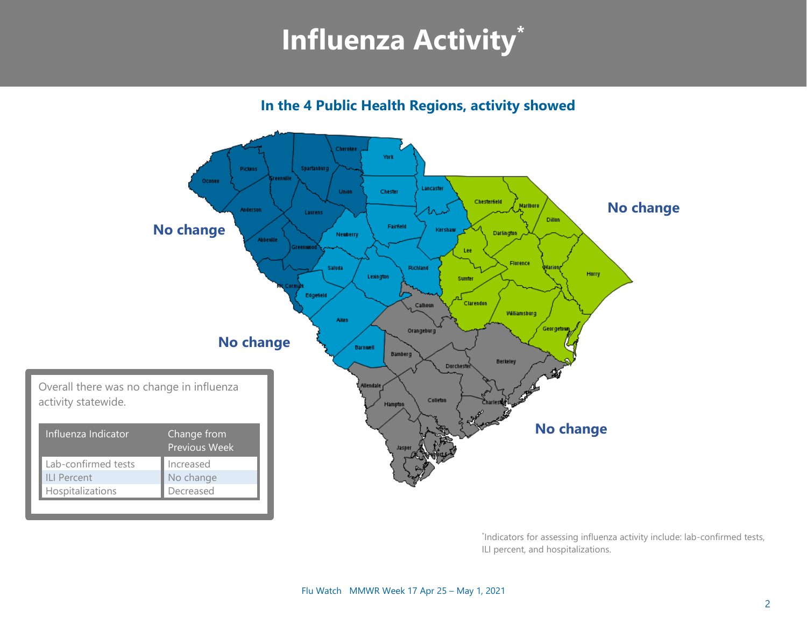## **Influenza Activity\***

**In the 4 Public Health Regions, activity showed**



\* Indicators for assessing influenza activity include: lab-confirmed tests, ILI percent, and hospitalizations.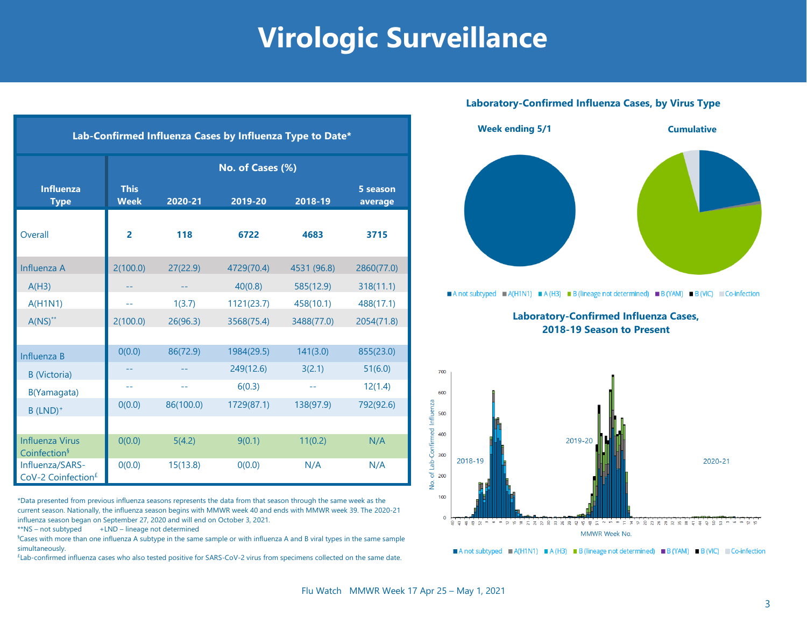### **Virologic Surveillance**

| Lab-Confirmed Influenza Cases by Influenza Type to Date* |                            |           |            |             |                     |  |  |  |
|----------------------------------------------------------|----------------------------|-----------|------------|-------------|---------------------|--|--|--|
|                                                          | No. of Cases (%)           |           |            |             |                     |  |  |  |
| <b>Influenza</b><br><b>Type</b>                          | <b>This</b><br><b>Week</b> | 2020-21   | 2019-20    | 2018-19     | 5 season<br>average |  |  |  |
| Overall                                                  | $\overline{2}$             | 118       | 6722       | 4683        | 3715                |  |  |  |
| Influenza A                                              | 2(100.0)                   | 27(22.9)  | 4729(70.4) | 4531 (96.8) | 2860(77.0)          |  |  |  |
| A(H3)                                                    |                            |           | 40(0.8)    | 585(12.9)   | 318(11.1)           |  |  |  |
| A(H1N1)                                                  | $-1$                       | 1(3.7)    | 1121(23.7) | 458(10.1)   | 488(17.1)           |  |  |  |
| $A(NS)^{**}$                                             | 2(100.0)                   | 26(96.3)  | 3568(75.4) | 3488(77.0)  | 2054(71.8)          |  |  |  |
|                                                          |                            |           |            |             |                     |  |  |  |
| Influenza B                                              | 0(0.0)                     | 86(72.9)  | 1984(29.5) | 141(3.0)    | 855(23.0)           |  |  |  |
| <b>B</b> (Victoria)                                      |                            |           | 249(12.6)  | 3(2.1)      | 51(6.0)             |  |  |  |
| B(Yamagata)                                              | 44                         | $-$       | 6(0.3)     | $-1$        | 12(1.4)             |  |  |  |
| $B$ (LND) <sup>+</sup>                                   | O(0.0)                     | 86(100.0) | 1729(87.1) | 138(97.9)   | 792(92.6)           |  |  |  |
|                                                          |                            |           |            |             |                     |  |  |  |
| <b>Influenza Virus</b><br>Coinfection <sup>§</sup>       | 0(0.0)                     | 5(4.2)    | 9(0.1)     | 11(0.2)     | N/A                 |  |  |  |
| Influenza/SARS-<br>CoV-2 Coinfection <sup>£</sup>        | 0(0.0)                     | 15(13.8)  | 0(0.0)     | N/A         | N/A                 |  |  |  |

\*Data presented from previous influenza seasons represents the data from that season through the same week as the current season. Nationally, the influenza season begins with MMWR week 40 and ends with MMWR week 39. The 2020-21 influenza season began on September 27, 2020 and will end on October 3, 2021.

 $**$ NS – not subtyped  $+LND$  – lineage not determined

§Cases with more than one influenza A subtype in the same sample or with influenza A and B viral types in the same sample simultaneously.

£ Lab-confirmed influenza cases who also tested positive for SARS-CoV-2 virus from specimens collected on the same date.

#### **Laboratory-Confirmed Influenza Cases, by Virus Type**



MMWR Week No. A not subtyped  $A(H1N1) = A(H3) = B$  (lineage not determined) B (YAM) B (VIC) Co-infection

 $\mathbf{o}$ 

ம் தெழ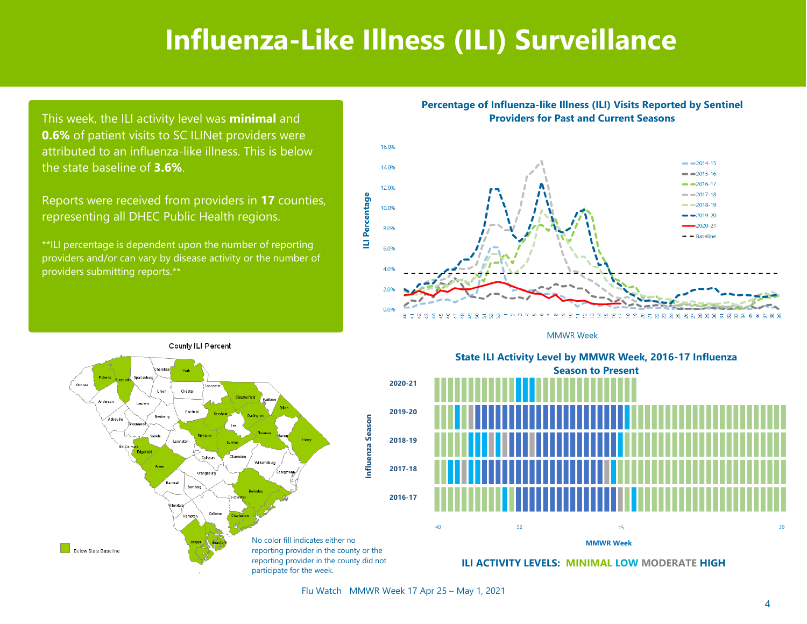### **Influenza-Like Illness (ILI) Surveillance**

This week, the ILI activity level was **minimal** and **0.6%** of patient visits to SC ILINet providers were attributed to an influenza-like illness. This is below the state baseline of **3.6%**.

Reports were received from providers in **17** counties, representing all DHEC Public Health regions.

\*\*ILI percentage is dependent upon the number of reporting providers and/or can vary by disease activity or the number of providers submitting reports.\*\*

#### **Percentage of Influenza-like Illness (ILI) Visits Reported by Sentinel Providers for Past and Current Seasons**



**MMWR Week** 



State ILI Activity Level by MMWR Week, 2016-17 Influenza **Season to Present** Season to Present **State ILI Activity Level by MMWR Week, 2016-17 Influenza**



**ILI ACTIVITY LEVELS: MINIMAL LOW MODERATE HIGH**

Flu Watch MMWR Week 17 Apr 25 – May 1, 2021